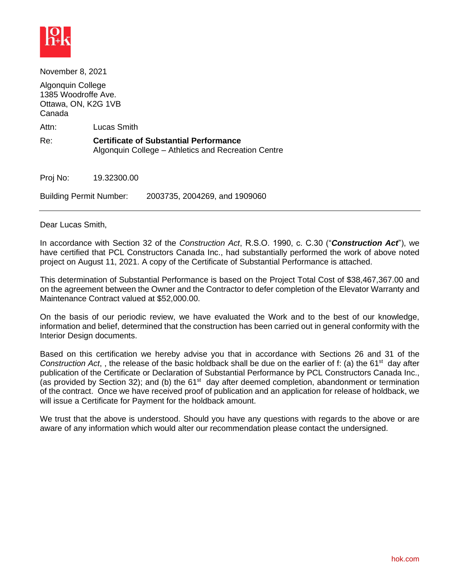

November 8, 2021

Algonquin College 1385 Woodroffe Ave. Ottawa, ON, K2G 1VB Canada

Attn: Lucas Smith

Re: **Certificate of Substantial Performance** Algonquin College – Athletics and Recreation Centre

Proj No: 19.32300.00

Building Permit Number: 2003735, 2004269, and 1909060

Dear Lucas Smith,

In accordance with Section 32 of the *Construction Act*, R.S.O. 1990, c. C.30 ("*Construction Act*"), we have certified that PCL Constructors Canada Inc., had substantially performed the work of above noted project on August 11, 2021. A copy of the Certificate of Substantial Performance is attached.

This determination of Substantial Performance is based on the Project Total Cost of \$38,467,367.00 and on the agreement between the Owner and the Contractor to defer completion of the Elevator Warranty and Maintenance Contract valued at \$52,000.00.

On the basis of our periodic review, we have evaluated the Work and to the best of our knowledge, information and belief, determined that the construction has been carried out in general conformity with the Interior Design documents.

Based on this certification we hereby advise you that in accordance with Sections 26 and 31 of the Construction Act,, the release of the basic holdback shall be due on the earlier of f: (a) the 61<sup>st</sup> day after publication of the Certificate or Declaration of Substantial Performance by PCL Constructors Canada Inc., (as provided by Section 32); and (b) the  $61<sup>st</sup>$  day after deemed completion, abandonment or termination of the contract. Once we have received proof of publication and an application for release of holdback, we will issue a Certificate for Payment for the holdback amount.

We trust that the above is understood. Should you have any questions with regards to the above or are aware of any information which would alter our recommendation please contact the undersigned.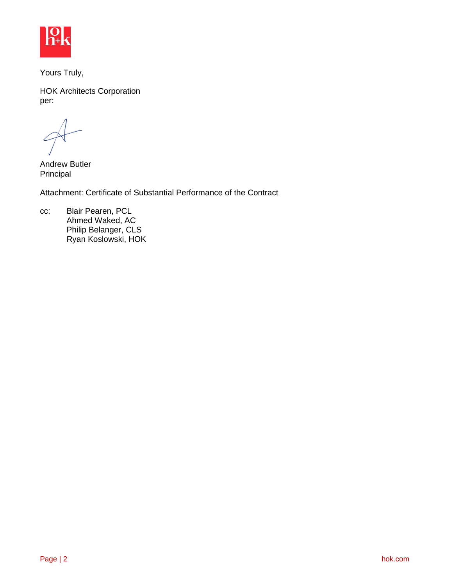

Yours Truly,

HOK Architects Corporation per:

Andrew Butler Principal

Attachment: Certificate of Substantial Performance of the Contract

cc: Blair Pearen, PCL Ahmed Waked, AC Philip Belanger, CLS Ryan Koslowski, HOK